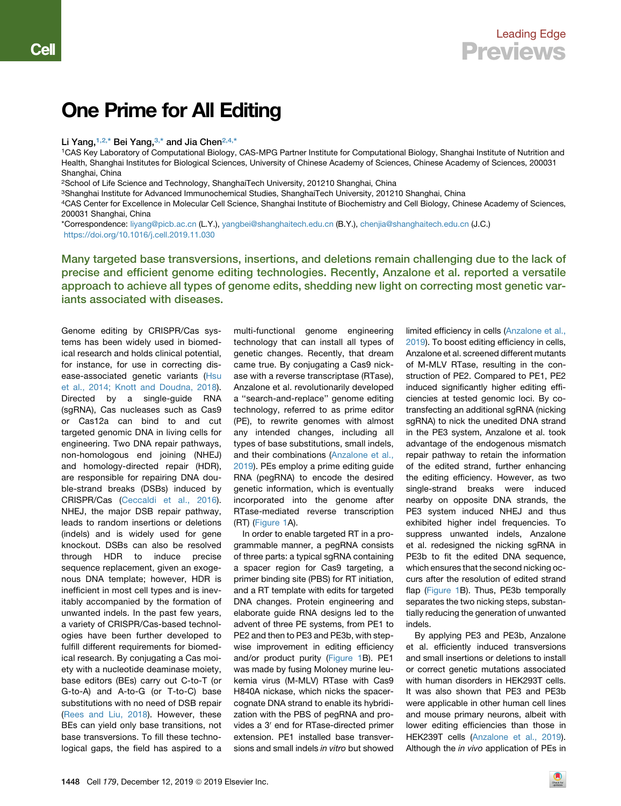## One Prime for All Editing

## Li Yang,  $1,2,*$  $1,2,*$  Bei Yang,  $3,*$  $3,*$  and Jia Chen $2,4,*$  $2,4,*$  $2,4,*$

<span id="page-0-0"></span>1CAS Key Laboratory of Computational Biology, CAS-MPG Partner Institute for Computational Biology, Shanghai Institute of Nutrition and Health, Shanghai Institutes for Biological Sciences, University of Chinese Academy of Sciences, Chinese Academy of Sciences, 200031 Shanghai, China

<span id="page-0-1"></span>2School of Life Science and Technology, ShanghaiTech University, 201210 Shanghai, China

<span id="page-0-2"></span>3Shanghai Institute for Advanced Immunochemical Studies, ShanghaiTech University, 201210 Shanghai, China

<span id="page-0-3"></span>4CAS Center for Excellence in Molecular Cell Science, Shanghai Institute of Biochemistry and Cell Biology, Chinese Academy of Sciences, 200031 Shanghai, China

<span id="page-0-4"></span>\*Correspondence: [liyang@picb.ac.cn](mailto:liyang@picb.ac.cn) (L.Y.), [yangbei@shanghaitech.edu.cn](mailto:yangbei@shanghaitech.edu.cn) (B.Y.), [chenjia@shanghaitech.edu.cn](mailto:chenjia@shanghaitech.edu.cn) (J.C.) <https://doi.org/10.1016/j.cell.2019.11.030>

Many targeted base transversions, insertions, and deletions remain challenging due to the lack of precise and efficient genome editing technologies. Recently, Anzalone et al. reported a versatile approach to achieve all types of genome edits, shedding new light on correcting most genetic variants associated with diseases.

Genome editing by CRISPR/Cas systems has been widely used in biomedical research and holds clinical potential, for instance, for use in correcting disease-associated genetic variants [\(Hsu](#page-2-0) [et al., 2014; Knott and Doudna, 2018\)](#page-2-0). Directed by a single-guide RNA (sgRNA), Cas nucleases such as Cas9 or Cas12a can bind to and cut targeted genomic DNA in living cells for engineering. Two DNA repair pathways, non-homologous end joining (NHEJ) and homology-directed repair (HDR), are responsible for repairing DNA double-strand breaks (DSBs) induced by CRISPR/Cas [\(Ceccaldi et al., 2016\)](#page-2-1). NHEJ, the major DSB repair pathway, leads to random insertions or deletions (indels) and is widely used for gene knockout. DSBs can also be resolved through HDR to induce precise sequence replacement, given an exogenous DNA template; however, HDR is inefficient in most cell types and is inevitably accompanied by the formation of unwanted indels. In the past few years, a variety of CRISPR/Cas-based technologies have been further developed to fulfill different requirements for biomedical research. By conjugating a Cas moiety with a nucleotide deaminase moiety, base editors (BEs) carry out C-to-T (or G-to-A) and A-to-G (or T-to-C) base substitutions with no need of DSB repair ([Rees and Liu, 2018](#page-2-2)). However, these BEs can yield only base transitions, not base transversions. To fill these technological gaps, the field has aspired to a

multi-functional genome engineering technology that can install all types of genetic changes. Recently, that dream came true. By conjugating a Cas9 nickase with a reverse transcriptase (RTase), Anzalone et al. revolutionarily developed a ''search-and-replace'' genome editing technology, referred to as prime editor (PE), to rewrite genomes with almost any intended changes, including all types of base substitutions, small indels, and their combinations [\(Anzalone et al.,](#page-2-3) [2019](#page-2-3)). PEs employ a prime editing guide RNA (pegRNA) to encode the desired genetic information, which is eventually incorporated into the genome after RTase-mediated reverse transcription (RT) ([Figure 1A](#page-1-0)).

In order to enable targeted RT in a programmable manner, a pegRNA consists of three parts: a typical sgRNA containing a spacer region for Cas9 targeting, a primer binding site (PBS) for RT initiation, and a RT template with edits for targeted DNA changes. Protein engineering and elaborate guide RNA designs led to the advent of three PE systems, from PE1 to PE2 and then to PE3 and PE3b, with stepwise improvement in editing efficiency and/or product purity [\(Figure 1](#page-1-0)B). PE1 was made by fusing Moloney murine leukemia virus (M-MLV) RTase with Cas9 H840A nickase, which nicks the spacercognate DNA strand to enable its hybridization with the PBS of pegRNA and provides a 3<sup>'</sup> end for RTase-directed primer extension. PE1 installed base transversions and small indels *in vitro* but showed

limited efficiency in cells ([Anzalone et al.,](#page-2-3) [2019](#page-2-3)). To boost editing efficiency in cells, Anzalone et al. screened different mutants of M-MLV RTase, resulting in the construction of PE2. Compared to PE1, PE2 induced significantly higher editing efficiencies at tested genomic loci. By cotransfecting an additional sgRNA (nicking sgRNA) to nick the unedited DNA strand in the PE3 system, Anzalone et al. took advantage of the endogenous mismatch repair pathway to retain the information of the edited strand, further enhancing the editing efficiency. However, as two single-strand breaks were induced nearby on opposite DNA strands, the PE3 system induced NHEJ and thus exhibited higher indel frequencies. To suppress unwanted indels, Anzalone et al. redesigned the nicking sgRNA in PE3b to fit the edited DNA sequence, which ensures that the second nicking occurs after the resolution of edited strand flap ([Figure 1B](#page-1-0)). Thus, PE3b temporally separates the two nicking steps, substantially reducing the generation of unwanted indels.

By applying PE3 and PE3b, Anzalone et al. efficiently induced transversions and small insertions or deletions to install or correct genetic mutations associated with human disorders in HEK293T cells. It was also shown that PE3 and PE3b were applicable in other human cell lines and mouse primary neurons, albeit with lower editing efficiencies than those in HEK239T cells [\(Anzalone et al., 2019](#page-2-3)). Although the *in vivo* application of PEs in

1448 Cell 179, December 12, 2019 @ 2019 Elsevier Inc.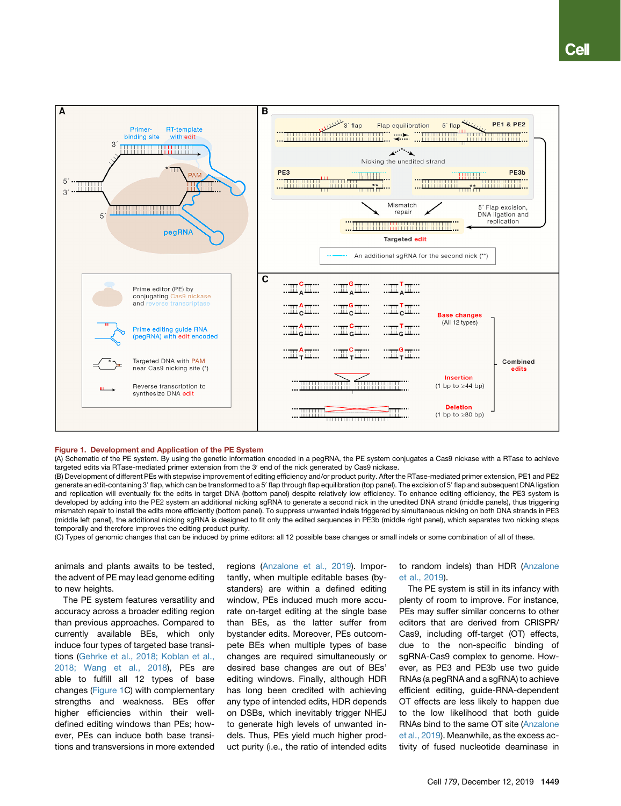<span id="page-1-0"></span>

## Figure 1. Development and Application of the PE System

(A) Schematic of the PE system. By using the genetic information encoded in a pegRNA, the PE system conjugates a Cas9 nickase with a RTase to achieve targeted edits via RTase-mediated primer extension from the 3' end of the nick generated by Cas9 nickase.

(B) Development of different PEs with stepwise improvement of editing efficiency and/or product purity. After the RTase-mediated primer extension, PE1 and PE2 generate an edit-containing 3' flap, which can be transformed to a 5' flap through flap equilibration (top panel). The excision of 5' flap and subsequent DNA ligation and replication will eventually fix the edits in target DNA (bottom panel) despite relatively low efficiency. To enhance editing efficiency, the PE3 system is developed by adding into the PE2 system an additional nicking sgRNA to generate a second nick in the unedited DNA strand (middle panels), thus triggering mismatch repair to install the edits more efficiently (bottom panel). To suppress unwanted indels triggered by simultaneous nicking on both DNA strands in PE3 (middle left panel), the additional nicking sgRNA is designed to fit only the edited sequences in PE3b (middle right panel), which separates two nicking steps temporally and therefore improves the editing product purity.

(C) Types of genomic changes that can be induced by prime editors: all 12 possible base changes or small indels or some combination of all of these.

animals and plants awaits to be tested, the advent of PE may lead genome editing to new heights.

The PE system features versatility and accuracy across a broader editing region than previous approaches. Compared to currently available BEs, which only induce four types of targeted base transitions ([Gehrke et al., 2018; Koblan et al.,](#page-2-4) [2018; Wang et al., 2018](#page-2-4)), PEs are able to fulfill all 12 types of base changes ([Figure 1C](#page-1-0)) with complementary strengths and weakness. BEs offer higher efficiencies within their welldefined editing windows than PEs; however, PEs can induce both base transitions and transversions in more extended regions [\(Anzalone et al., 2019](#page-2-3)). Importantly, when multiple editable bases (bystanders) are within a defined editing window, PEs induced much more accurate on-target editing at the single base than BEs, as the latter suffer from bystander edits. Moreover, PEs outcompete BEs when multiple types of base changes are required simultaneously or desired base changes are out of BEs' editing windows. Finally, although HDR has long been credited with achieving any type of intended edits, HDR depends on DSBs, which inevitably trigger NHEJ to generate high levels of unwanted indels. Thus, PEs yield much higher product purity (i.e., the ratio of intended edits

to random indels) than HDR [\(Anzalone](#page-2-3) [et al., 2019\)](#page-2-3).

The PE system is still in its infancy with plenty of room to improve. For instance, PEs may suffer similar concerns to other editors that are derived from CRISPR/ Cas9, including off-target (OT) effects, due to the non-specific binding of sgRNA-Cas9 complex to genome. However, as PE3 and PE3b use two guide RNAs (a pegRNA and a sgRNA) to achieve efficient editing, guide-RNA-dependent OT effects are less likely to happen due to the low likelihood that both guide RNAs bind to the same OT site [\(Anzalone](#page-2-3) [et al., 2019](#page-2-3)). Meanwhile, as the excess activity of fused nucleotide deaminase in